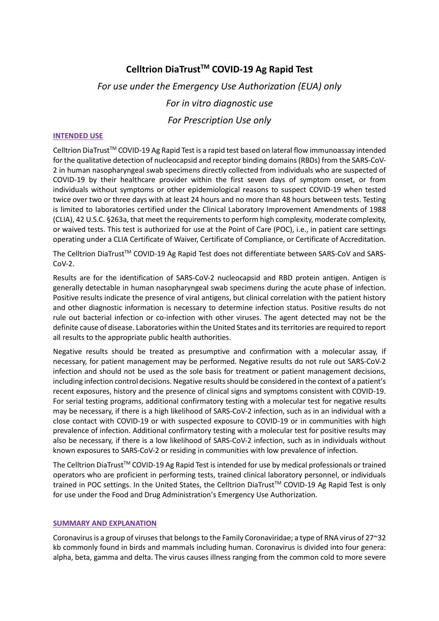# **Celltrion DiaTrustTM COVID-19 Ag Rapid Test**

# *For use under the Emergency Use Authorization (EUA) only For in vitro diagnostic use For Prescription Use only*

#### **INTENDED USE**

Celltrion DiaTrust<sup>TM</sup> COVID-19 Ag Rapid Test is a rapid test based on lateral flow immunoassay intended for the qualitative detection of nucleocapsid and receptor binding domains (RBDs) from the SARS-CoV-2 in human nasopharyngeal swab specimens directly collected from individuals who are suspected of COVID-19 by their healthcare provider within the first seven days of symptom onset, or from individuals without symptoms or other epidemiological reasons to suspect COVID-19 when tested twice over two or three days with at least 24 hours and no more than 48 hours between tests. Testing is limited to laboratories certified under the Clinical Laboratory Improvement Amendments of 1988 (CLIA), 42 U.S.C. §263a, that meet the requirements to perform high complexity, moderate complexity, or waived tests. This test is authorized for use at the Point of Care (POC), i.e., in patient care settings operating under a CLIA Certificate of Waiver, Certificate of Compliance, or Certificate of Accreditation.

The Celltrion DiaTrust™ COVID-19 Ag Rapid Test does not differentiate between SARS-CoV and SARS- $Cov-2$ .

Results are for the identification of SARS-CoV-2 nucleocapsid and RBD protein antigen. Antigen is generally detectable in human nasopharyngeal swab specimens during the acute phase of infection. Positive results indicate the presence of viral antigens, but clinical correlation with the patient history and other diagnostic information is necessary to determine infection status. Positive results do not rule out bacterial infection or co-infection with other viruses. The agent detected may not be the definite cause of disease. Laboratories within the United States and its territories are required to report all results to the appropriate public health authorities.

Negative results should be treated as presumptive and confirmation with a molecular assay, if necessary, for patient management may be performed. Negative results do not rule out SARS-CoV-2 infection and should not be used as the sole basis for treatment or patient management decisions, including infection control decisions. Negative results should be considered in the context of a patient's recent exposures, history and the presence of clinical signs and symptoms consistent with COVID-19. For serial testing programs, additional confirmatory testing with a molecular test for negative results may be necessary, if there is a high likelihood of SARS-CoV-2 infection, such as in an individual with a close contact with COVID-19 or with suspected exposure to COVID-19 or in communities with high prevalence of infection. Additional confirmatory testing with a molecular test for positive results may also be necessary, if there is a low likelihood of SARS-CoV-2 infection, such as in individuals without known exposures to SARS-CoV-2 or residing in communities with low prevalence of infection.

The Celltrion DiaTrust<sup>™</sup> COVID-19 Ag Rapid Test is intended for use by medical professionals or trained operators who are proficient in performing tests, trained clinical laboratory personnel, or individuals trained in POC settings. In the United States, the Celltrion DiaTrust™ COVID-19 Ag Rapid Test is only for use under the Food and Drug Administration's Emergency Use Authorization.

#### **SUMMARY AND EXPLANATION**

Coronavirus is a group of viruses that belongs to the Family Coronaviridae; a type of RNA virus of 27~32 kb commonly found in birds and mammals including human. Coronavirus is divided into four genera: alpha, beta, gamma and delta. The virus causes illness ranging from the common cold to more severe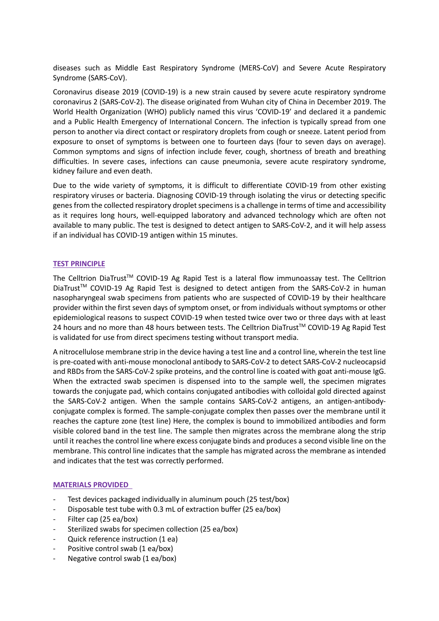diseases such as Middle East Respiratory Syndrome (MERS-CoV) and Severe Acute Respiratory Syndrome (SARS-CoV).

Coronavirus disease 2019 (COVID-19) is a new strain caused by severe acute respiratory syndrome coronavirus 2 (SARS-CoV-2). The disease originated from Wuhan city of China in December 2019. The World Health Organization (WHO) publicly named this virus 'COVID-19' and declared it a pandemic and a Public Health Emergency of International Concern. The infection is typically spread from one person to another via direct contact or respiratory droplets from cough or sneeze. Latent period from exposure to onset of symptoms is between one to fourteen days (four to seven days on average). Common symptoms and signs of infection include fever, cough, shortness of breath and breathing difficulties. In severe cases, infections can cause pneumonia, severe acute respiratory syndrome, kidney failure and even death.

Due to the wide variety of symptoms, it is difficult to differentiate COVID-19 from other existing respiratory viruses or bacteria. Diagnosing COVID-19 through isolating the virus or detecting specific genes from the collected respiratory droplet specimens is a challenge in terms of time and accessibility as it requires long hours, well-equipped laboratory and advanced technology which are often not available to many public. The test is designed to detect antigen to SARS-CoV-2, and it will help assess if an individual has COVID-19 antigen within 15 minutes.

# **TEST PRINCIPLE**

The Celltrion DiaTrust<sup>™</sup> COVID-19 Ag Rapid Test is a lateral flow immunoassay test. The Celltrion DiaTrust<sup>™</sup> COVID-19 Ag Rapid Test is designed to detect antigen from the SARS-CoV-2 in human nasopharyngeal swab specimens from patients who are suspected of COVID-19 by their healthcare provider within the first seven days of symptom onset, or from individuals without symptoms or other epidemiological reasons to suspect COVID-19 when tested twice over two or three days with at least 24 hours and no more than 48 hours between tests. The Celltrion DiaTrust<sup>TM</sup> COVID-19 Ag Rapid Test is validated for use from direct specimens testing without transport media.

A nitrocellulose membrane strip in the device having a test line and a control line, wherein the test line is pre-coated with anti-mouse monoclonal antibody to SARS-CoV-2 to detect SARS-CoV-2 nucleocapsid and RBDs from the SARS-CoV-2 spike proteins, and the control line is coated with goat anti-mouse IgG. When the extracted swab specimen is dispensed into to the sample well, the specimen migrates towards the conjugate pad, which contains conjugated antibodies with colloidal gold directed against the SARS-CoV-2 antigen. When the sample contains SARS-CoV-2 antigens, an antigen-antibodyconjugate complex is formed. The sample-conjugate complex then passes over the membrane until it reaches the capture zone (test line) Here, the complex is bound to immobilized antibodies and form visible colored band in the test line. The sample then migrates across the membrane along the strip until it reaches the control line where excess conjugate binds and produces a second visible line on the membrane. This control line indicates that the sample has migrated across the membrane as intended and indicates that the test was correctly performed.

# **MATERIALS PROVIDED**

- Test devices packaged individually in aluminum pouch (25 test/box)
- Disposable test tube with 0.3 mL of extraction buffer (25 ea/box)
- Filter cap (25 ea/box)
- Sterilized swabs for specimen collection (25 ea/box)
- Quick reference instruction (1 ea)
- Positive control swab (1 ea/box)
- Negative control swab (1 ea/box)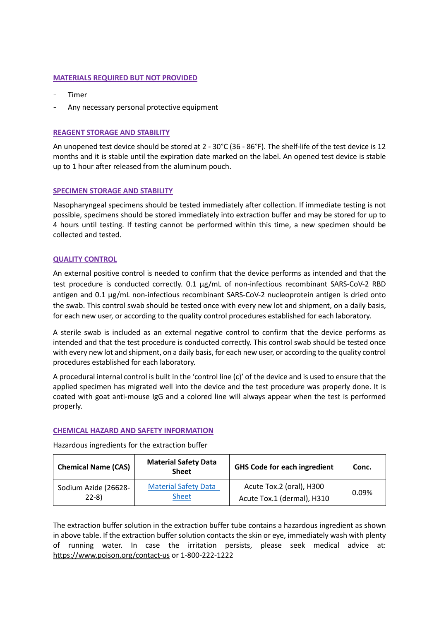#### **MATERIALS REQUIRED BUT NOT PROVIDED**

- Timer
- Any necessary personal protective equipment

# **REAGENT STORAGE AND STABILITY**

An unopened test device should be stored at 2 - 30°C (36 - 86°F). The shelf-life of the test device is 12 months and it is stable until the expiration date marked on the label. An opened test device is stable up to 1 hour after released from the aluminum pouch.

# **SPECIMEN STORAGE AND STABILITY**

Nasopharyngeal specimens should be tested immediately after collection. If immediate testing is not possible, specimens should be stored immediately into extraction buffer and may be stored for up to 4 hours until testing. If testing cannot be performed within this time, a new specimen should be collected and tested.

# **QUALITY CONTROL**

An external positive control is needed to confirm that the device performs as intended and that the test procedure is conducted correctly. 0.1 μg/mL of non-infectious recombinant SARS-CoV-2 RBD antigen and 0.1 μg/mL non-infectious recombinant SARS-CoV-2 nucleoprotein antigen is dried onto the swab. This control swab should be tested once with every new lot and shipment, on a daily basis, for each new user, or according to the quality control procedures established for each laboratory.

A sterile swab is included as an external negative control to confirm that the device performs as intended and that the test procedure is conducted correctly. This control swab should be tested once with every new lot and shipment, on a daily basis, for each new user, or according to the quality control procedures established for each laboratory.

A procedural internal control is built in the 'control line (c)' of the device and is used to ensure that the applied specimen has migrated well into the device and the test procedure was properly done. It is coated with goat anti-mouse IgG and a colored line will always appear when the test is performed properly.

# **CHEMICAL HAZARD AND SAFETY INFORMATION**

Hazardous ingredients for the extraction buffer

| <b>Chemical Name (CAS)</b> | <b>Material Safety Data</b><br><b>Sheet</b> | <b>GHS Code for each ingredient</b> | Conc. |
|----------------------------|---------------------------------------------|-------------------------------------|-------|
| Sodium Azide (26628-       | <b>Material Safety Data</b>                 | Acute Tox.2 (oral), H300            | 0.09% |
| $22 - 8$                   | <b>Sheet</b>                                | Acute Tox.1 (dermal), H310          |       |

The extraction buffer solution in the extraction buffer tube contains a hazardous ingredient as shown in above table. If the extraction buffer solution contacts the skin or eye, immediately wash with plenty of running water. In case the irritation persists, please seek medical advice at: <https://www.poison.org/contact-us> or 1-800-222-1222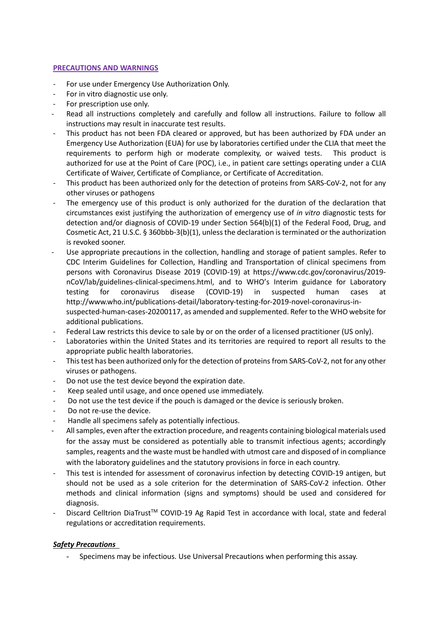# **PRECAUTIONS AND WARNINGS**

- For use under Emergency Use Authorization Only.
- For in vitro diagnostic use only.
- For prescription use only.
- Read all instructions completely and carefully and follow all instructions. Failure to follow all instructions may result in inaccurate test results.
- This product has not been FDA cleared or approved, but has been authorized by FDA under an Emergency Use Authorization (EUA) for use by laboratories certified under the CLIA that meet the requirements to perform high or moderate complexity, or waived tests. This product is authorized for use at the Point of Care (POC), i.e., in patient care settings operating under a CLIA Certificate of Waiver, Certificate of Compliance, or Certificate of Accreditation.
- This product has been authorized only for the detection of proteins from SARS-CoV-2, not for any other viruses or pathogens
- The emergency use of this product is only authorized for the duration of the declaration that circumstances exist justifying the authorization of emergency use of *in vitro* diagnostic tests for detection and/or diagnosis of COVID-19 under Section 564(b)(1) of the Federal Food, Drug, and Cosmetic Act, 21 U.S.C. § 360bbb-3(b)(1), unless the declaration is terminated or the authorization is revoked sooner.
- Use appropriate precautions in the collection, handling and storage of patient samples. Refer to CDC Interim Guidelines for Collection, Handling and Transportation of clinical specimens from persons with Coronavirus Disease 2019 (COVID-19) at https://www.cdc.gov/coronavirus/2019 nCoV/lab/guidelines-clinical-specimens.html, and to WHO's Interim guidance for Laboratory testing for coronavirus disease (COVID-19) in suspected human cases at http://www.who.int/publications-detail/laboratory-testing-for-2019-novel-coronavirus-insuspected-human-cases-20200117, as amended and supplemented. Refer to the WHO website for additional publications.
- Federal Law restricts this device to sale by or on the order of a licensed practitioner (US only).
- Laboratories within the United States and its territories are required to report all results to the appropriate public health laboratories.
- This test has been authorized only for the detection of proteins from SARS-CoV-2, not for any other viruses or pathogens.
- Do not use the test device beyond the expiration date.
- Keep sealed until usage, and once opened use immediately.
- Do not use the test device if the pouch is damaged or the device is seriously broken.
- Do not re-use the device.
- Handle all specimens safely as potentially infectious.
- All samples, even after the extraction procedure, and reagents containing biological materials used for the assay must be considered as potentially able to transmit infectious agents; accordingly samples, reagents and the waste must be handled with utmost care and disposed of in compliance with the laboratory guidelines and the statutory provisions in force in each country.
- This test is intended for assessment of coronavirus infection by detecting COVID-19 antigen, but should not be used as a sole criterion for the determination of SARS-CoV-2 infection. Other methods and clinical information (signs and symptoms) should be used and considered for diagnosis.
- Discard Celltrion DiaTrust™ COVID-19 Ag Rapid Test in accordance with local, state and federal regulations or accreditation requirements.

# *Safety Precautions*

- Specimens may be infectious. Use Universal Precautions when performing this assay.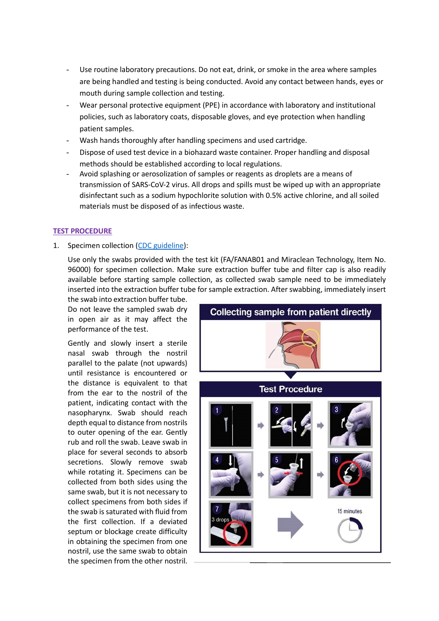- Use routine laboratory precautions. Do not eat, drink, or smoke in the area where samples are being handled and testing is being conducted. Avoid any contact between hands, eyes or mouth during sample collection and testing.
- Wear personal protective equipment (PPE) in accordance with laboratory and institutional policies, such as laboratory coats, disposable gloves, and eye protection when handling patient samples.
- Wash hands thoroughly after handling specimens and used cartridge.
- Dispose of used test device in a biohazard waste container. Proper handling and disposal methods should be established according to local regulations.
- Avoid splashing or aerosolization of samples or reagents as droplets are a means of transmission of SARS-CoV-2 virus. All drops and spills must be wiped up with an appropriate disinfectant such as a sodium hypochlorite solution with 0.5% active chlorine, and all soiled materials must be disposed of as infectious waste.

# **TEST PROCEDURE**

1. Specimen collection [\(CDC guideline\)](https://www.cdc.gov/coronavirus/2019-ncov/lab/guidelines-clinical-specimens.html):

Use only the swabs provided with the test kit (FA/FANAB01 and Miraclean Technology, Item No. 96000) for specimen collection. Make sure extraction buffer tube and filter cap is also readily available before starting sample collection, as collected swab sample need to be immediately inserted into the extraction buffer tube for sample extraction. After swabbing, immediately insert

the swab into extraction buffer tube. Do not leave the sampled swab dry in open air as it may affect the performance of the test.

Gently and slowly insert a sterile nasal swab through the nostril parallel to the palate (not upwards) until resistance is encountered or the distance is equivalent to that from the ear to the nostril of the patient, indicating contact with the nasopharynx. Swab should reach depth equal to distance from nostrils to outer opening of the ear. Gently rub and roll the swab. Leave swab in place for several seconds to absorb secretions. Slowly remove swab while rotating it. Specimens can be collected from both sides using the same swab, but it is not necessary to collect specimens from both sides if the swab is saturated with fluid from the first collection. If a deviated septum or blockage create difficulty in obtaining the specimen from one nostril, use the same swab to obtain the specimen from the other nostril.

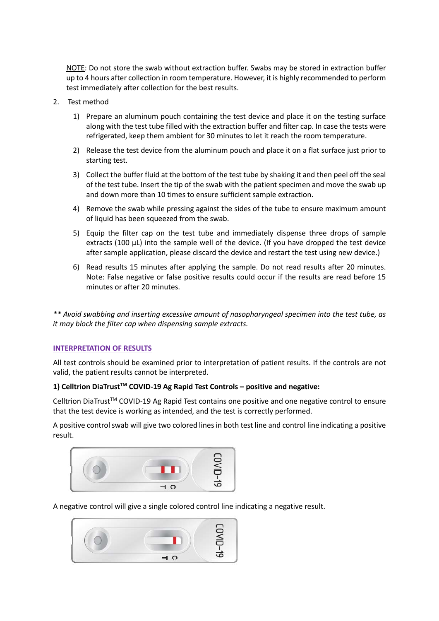NOTE: Do not store the swab without extraction buffer. Swabs may be stored in extraction buffer up to 4 hours after collection in room temperature. However, it is highly recommended to perform test immediately after collection for the best results.

- 2. Test method
	- 1) Prepare an aluminum pouch containing the test device and place it on the testing surface along with the test tube filled with the extraction buffer and filter cap. In case the tests were refrigerated, keep them ambient for 30 minutes to let it reach the room temperature.
	- 2) Release the test device from the aluminum pouch and place it on a flat surface just prior to starting test.
	- 3) Collect the buffer fluid at the bottom of the test tube by shaking it and then peel off the seal of the test tube. Insert the tip of the swab with the patient specimen and move the swab up and down more than 10 times to ensure sufficient sample extraction.
	- 4) Remove the swab while pressing against the sides of the tube to ensure maximum amount of liquid has been squeezed from the swab.
	- 5) Equip the filter cap on the test tube and immediately dispense three drops of sample extracts (100  $\mu$ L) into the sample well of the device. (If you have dropped the test device after sample application, please discard the device and restart the test using new device.)
	- 6) Read results 15 minutes after applying the sample. Do not read results after 20 minutes. Note: False negative or false positive results could occur if the results are read before 15 minutes or after 20 minutes.

*\*\* Avoid swabbing and inserting excessive amount of nasopharyngeal specimen into the test tube, as it may block the filter cap when dispensing sample extracts.*

# **INTERPRETATION OF RESULTS**

All test controls should be examined prior to interpretation of patient results. If the controls are not valid, the patient results cannot be interpreted.

# **1) Celltrion DiaTrustTM COVID-19 Ag Rapid Test Controls – positive and negative:**

Celltrion DiaTrust<sup>™</sup> COVID-19 Ag Rapid Test contains one positive and one negative control to ensure that the test device is working as intended, and the test is correctly performed.

A positive control swab will give two colored lines in both test line and control line indicating a positive result.



A negative control will give a single colored control line indicating a negative result.

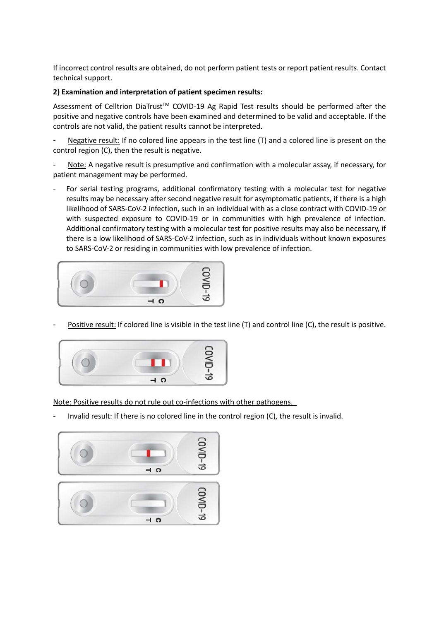If incorrect control results are obtained, do not perform patient tests or report patient results. Contact technical support.

# **2) Examination and interpretation of patient specimen results:**

Assessment of Celltrion DiaTrust™ COVID-19 Ag Rapid Test results should be performed after the positive and negative controls have been examined and determined to be valid and acceptable. If the controls are not valid, the patient results cannot be interpreted.

Negative result: If no colored line appears in the test line (T) and a colored line is present on the control region (C), then the result is negative.

Note: A negative result is presumptive and confirmation with a molecular assay, if necessary, for patient management may be performed.

For serial testing programs, additional confirmatory testing with a molecular test for negative results may be necessary after second negative result for asymptomatic patients, if there is a high likelihood of SARS-CoV-2 infection, such in an individual with as a close contract with COVID-19 or with suspected exposure to COVID-19 or in communities with high prevalence of infection. Additional confirmatory testing with a molecular test for positive results may also be necessary, if there is a low likelihood of SARS-CoV-2 infection, such as in individuals without known exposures to SARS-CoV-2 or residing in communities with low prevalence of infection.



Positive result: If colored line is visible in the test line (T) and control line (C), the result is positive.



Note: Positive results do not rule out co-infections with other pathogens.

Invalid result: If there is no colored line in the control region (C), the result is invalid.

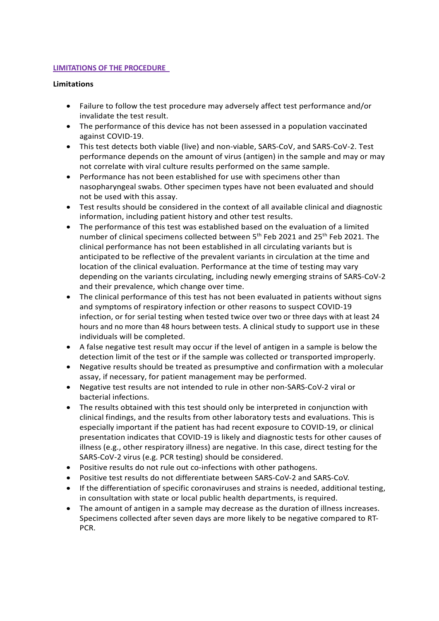# **LIMITATIONS OF THE PROCEDURE**

# **Limitations**

- Failure to follow the test procedure may adversely affect test performance and/or invalidate the test result.
- The performance of this device has not been assessed in a population vaccinated against COVID-19.
- This test detects both viable (live) and non-viable, SARS-CoV, and SARS-CoV-2. Test performance depends on the amount of virus (antigen) in the sample and may or may not correlate with viral culture results performed on the same sample.
- Performance has not been established for use with specimens other than nasopharyngeal swabs. Other specimen types have not been evaluated and should not be used with this assay.
- Test results should be considered in the context of all available clinical and diagnostic information, including patient history and other test results.
- The performance of this test was established based on the evaluation of a limited number of clinical specimens collected between 5<sup>th</sup> Feb 2021 and 25<sup>th</sup> Feb 2021. The clinical performance has not been established in all circulating variants but is anticipated to be reflective of the prevalent variants in circulation at the time and location of the clinical evaluation. Performance at the time of testing may vary depending on the variants circulating, including newly emerging strains of SARS-CoV-2 and their prevalence, which change over time.
- The clinical performance of this test has not been evaluated in patients without signs and symptoms of respiratory infection or other reasons to suspect COVID-19 infection, or for serial testing when tested twice over two or three days with at least 24 hours and no more than 48 hours between tests. A clinical study to support use in these individuals will be completed.
- A false negative test result may occur if the level of antigen in a sample is below the detection limit of the test or if the sample was collected or transported improperly.
- Negative results should be treated as presumptive and confirmation with a molecular assay, if necessary, for patient management may be performed.
- Negative test results are not intended to rule in other non-SARS-CoV-2 viral or bacterial infections.
- The results obtained with this test should only be interpreted in conjunction with clinical findings, and the results from other laboratory tests and evaluations. This is especially important if the patient has had recent exposure to COVID-19, or clinical presentation indicates that COVID-19 is likely and diagnostic tests for other causes of illness (e.g., other respiratory illness) are negative. In this case, direct testing for the SARS-CoV-2 virus (e.g. PCR testing) should be considered.
- Positive results do not rule out co-infections with other pathogens.
- Positive test results do not differentiate between SARS-CoV-2 and SARS-CoV.
- If the differentiation of specific coronaviruses and strains is needed, additional testing, in consultation with state or local public health departments, is required.
- The amount of antigen in a sample may decrease as the duration of illness increases. Specimens collected after seven days are more likely to be negative compared to RT-PCR.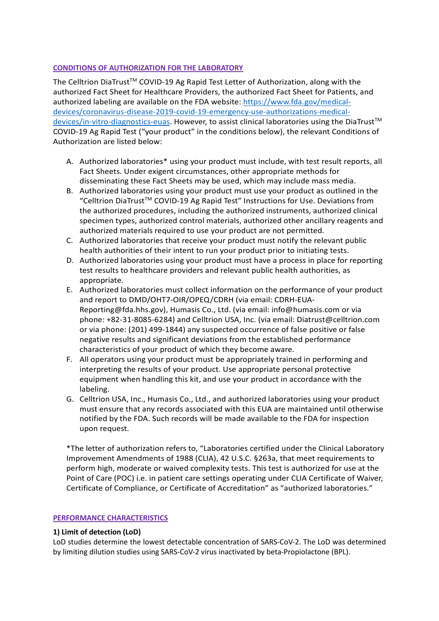# **CONDITIONS OF AUTHORIZATION FOR THE LABORATORY**

The Celltrion DiaTrust<sup>™</sup> COVID-19 Ag Rapid Test Letter of Authorization, along with the authorized Fact Sheet for Healthcare Providers, the authorized Fact Sheet for Patients, and authorized labeling are available on the FDA website: [https://www.fda.gov/medical](https://www.fda.gov/medical-devices/coronavirus-disease-2019-covid-19-emergency-use-authorizations-medical-devices/in-vitro-diagnostics-euas)[devices/coronavirus-disease-2019-covid-19-emergency-use-authorizations-medical](https://www.fda.gov/medical-devices/coronavirus-disease-2019-covid-19-emergency-use-authorizations-medical-devices/in-vitro-diagnostics-euas)[devices/in-vitro-diagnostics-euas.](https://www.fda.gov/medical-devices/coronavirus-disease-2019-covid-19-emergency-use-authorizations-medical-devices/in-vitro-diagnostics-euas) However, to assist clinical laboratories using the DiaTrustTM COVID-19 Ag Rapid Test ("your product" in the conditions below), the relevant Conditions of Authorization are listed below:

- A. Authorized laboratories\* using your product must include, with test result reports, all Fact Sheets. Under exigent circumstances, other appropriate methods for disseminating these Fact Sheets may be used, which may include mass media.
- B. Authorized laboratories using your product must use your product as outlined in the "Celltrion DiaTrust<sup>TM</sup> COVID-19 Ag Rapid Test" Instructions for Use. Deviations from the authorized procedures, including the authorized instruments, authorized clinical specimen types, authorized control materials, authorized other ancillary reagents and authorized materials required to use your product are not permitted.
- C. Authorized laboratories that receive your product must notify the relevant public health authorities of their intent to run your product prior to initiating tests.
- D. Authorized laboratories using your product must have a process in place for reporting test results to healthcare providers and relevant public health authorities, as appropriate.
- E. Authorized laboratories must collect information on the performance of your product and report to DMD/OHT7-OIR/OPEQ/CDRH (via email: CDRH-EUA-Reporting@fda.hhs.gov), Humasis Co., Ltd. (via email: info@humasis.com or via phone: +82-31-8085-6284) and Celltrion USA, Inc. (via email: Diatrust@celltrion.com or via phone: (201) 499-1844) any suspected occurrence of false positive or false negative results and significant deviations from the established performance characteristics of your product of which they become aware.
- F. All operators using your product must be appropriately trained in performing and interpreting the results of your product. Use appropriate personal protective equipment when handling this kit, and use your product in accordance with the labeling.
- G. Celltrion USA, Inc., Humasis Co., Ltd., and authorized laboratories using your product must ensure that any records associated with this EUA are maintained until otherwise notified by the FDA. Such records will be made available to the FDA for inspection upon request.

\*The letter of authorization refers to, "Laboratories certified under the Clinical Laboratory Improvement Amendments of 1988 (CLIA), 42 U.S.C. §263a, that meet requirements to perform high, moderate or waived complexity tests. This test is authorized for use at the Point of Care (POC) i.e. in patient care settings operating under CLIA Certificate of Waiver, Certificate of Compliance, or Certificate of Accreditation" as "authorized laboratories."

# **PERFORMANCE CHARACTERISTICS**

# **1) Limit of detection (LoD)**

LoD studies determine the lowest detectable concentration of SARS-CoV-2. The LoD was determined by limiting dilution studies using SARS-CoV-2 virus inactivated by beta-Propiolactone (BPL).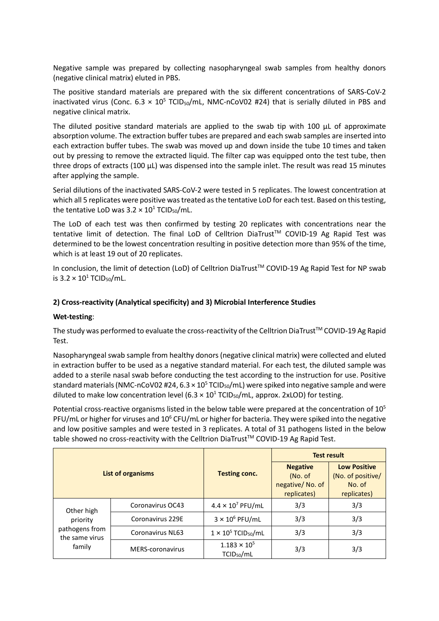Negative sample was prepared by collecting nasopharyngeal swab samples from healthy donors (negative clinical matrix) eluted in PBS.

The positive standard materials are prepared with the six different concentrations of SARS-CoV-2 inactivated virus (Conc. 6.3  $\times$  10<sup>5</sup> TCID<sub>50</sub>/mL, NMC-nCoV02 #24) that is serially diluted in PBS and negative clinical matrix.

The diluted positive standard materials are applied to the swab tip with 100 μL of approximate absorption volume. The extraction buffer tubes are prepared and each swab samples are inserted into each extraction buffer tubes. The swab was moved up and down inside the tube 10 times and taken out by pressing to remove the extracted liquid. The filter cap was equipped onto the test tube, then three drops of extracts (100 μL) was dispensed into the sample inlet. The result was read 15 minutes after applying the sample.

Serial dilutions of the inactivated SARS-CoV-2 were tested in 5 replicates. The lowest concentration at which all 5 replicates were positive was treated as the tentative LoD for each test. Based on this testing, the tentative LoD was  $3.2 \times 10^1$  TCID<sub>50</sub>/mL.

The LoD of each test was then confirmed by testing 20 replicates with concentrations near the tentative limit of detection. The final LoD of Celltrion DiaTrust™ COVID-19 Ag Rapid Test was determined to be the lowest concentration resulting in positive detection more than 95% of the time, which is at least 19 out of 20 replicates.

In conclusion, the limit of detection (LoD) of Celltrion DiaTrust™ COVID-19 Ag Rapid Test for NP swab is  $3.2 \times 10^1$  TCID<sub>50</sub>/mL.

# **2) Cross-reactivity (Analytical specificity) and 3) Microbial Interference Studies**

# **Wet-testing**:

The study was performed to evaluate the cross-reactivity of the Celltrion DiaTrust™ COVID-19 Ag Rapid Test.

Nasopharyngeal swab sample from healthy donors (negative clinical matrix) were collected and eluted in extraction buffer to be used as a negative standard material. For each test, the diluted sample was added to a sterile nasal swab before conducting the test according to the instruction for use. Positive standard materials (NMC-nCoV02 #24,  $6.3 \times 10^5$  TCID<sub>50</sub>/mL) were spiked into negative sample and were diluted to make low concentration level (6.3  $\times$  10<sup>1</sup> TCID<sub>50</sub>/mL, approx. 2xLOD) for testing.

Potential cross-reactive organisms listed in the below table were prepared at the concentration of 10<sup>5</sup> PFU/mL or higher for viruses and  $10^6$  CFU/mL or higher for bacteria. They were spiked into the negative and low positive samples and were tested in 3 replicates. A total of 31 pathogens listed in the below table showed no cross-reactivity with the Celltrion DiaTrust<sup>TM</sup> COVID-19 Ag Rapid Test.

| List of organisms                |                         |                                                 | <b>Test result</b>                                            |                                                                   |  |
|----------------------------------|-------------------------|-------------------------------------------------|---------------------------------------------------------------|-------------------------------------------------------------------|--|
|                                  |                         | <b>Testing conc.</b>                            | <b>Negative</b><br>(No. of)<br>negative/No. of<br>replicates) | <b>Low Positive</b><br>(No. of positive/<br>No. of<br>replicates) |  |
| Other high                       | Coronavirus OC43        | $4.4 \times 10^7$ PFU/mL                        | 3/3                                                           | 3/3                                                               |  |
| priority                         | Coronavirus 229E        | $3 \times 10^6$ PFU/mL                          | 3/3                                                           | 3/3                                                               |  |
| pathogens from<br>the same virus | <b>Coronavirus NL63</b> | $1 \times 10^5$ TCID <sub>50</sub> /mL          | 3/3                                                           | 3/3                                                               |  |
| family                           | MERS-coronavirus        | $1.183 \times 10^{5}$<br>TCID <sub>50</sub> /mL | 3/3                                                           | 3/3                                                               |  |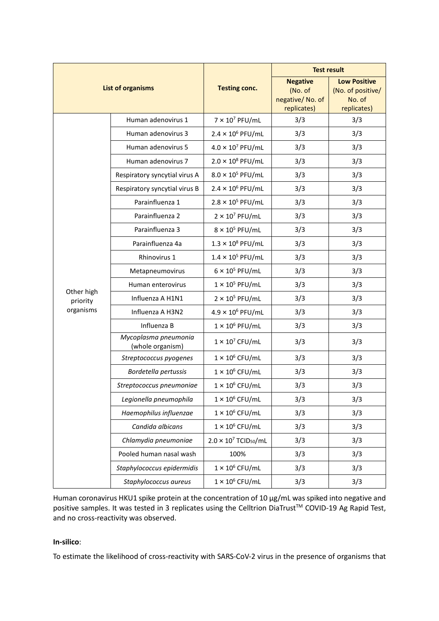| <b>List of organisms</b> |                                          |                                          | <b>Test result</b>                                           |                                                                   |
|--------------------------|------------------------------------------|------------------------------------------|--------------------------------------------------------------|-------------------------------------------------------------------|
|                          |                                          | <b>Testing conc.</b>                     | <b>Negative</b><br>(No. of<br>negative/No. of<br>replicates) | <b>Low Positive</b><br>(No. of positive/<br>No. of<br>replicates) |
|                          | Human adenovirus 1                       | $7 \times 10^7$ PFU/mL                   | 3/3                                                          | 3/3                                                               |
|                          | Human adenovirus 3                       | $2.4 \times 10^6$ PFU/mL                 | 3/3                                                          | 3/3                                                               |
|                          | Human adenovirus 5                       | $4.0 \times 10^7$ PFU/mL                 | 3/3                                                          | 3/3                                                               |
|                          | Human adenovirus 7                       | $2.0 \times 10^8$ PFU/mL                 | 3/3                                                          | 3/3                                                               |
|                          | Respiratory syncytial virus A            | $8.0 \times 10^5$ PFU/mL                 | 3/3                                                          | 3/3                                                               |
|                          | Respiratory syncytial virus B            | $2.4 \times 10^6$ PFU/mL                 | 3/3                                                          | 3/3                                                               |
|                          | Parainfluenza 1                          | $2.8 \times 10^5$ PFU/mL                 | 3/3                                                          | 3/3                                                               |
|                          | Parainfluenza 2                          | $2 \times 10^7$ PFU/mL                   | 3/3                                                          | 3/3                                                               |
|                          | Parainfluenza 3                          | $8 \times 10^5$ PFU/mL                   | 3/3                                                          | 3/3                                                               |
|                          | Parainfluenza 4a                         | $1.3 \times 10^8$ PFU/mL                 | 3/3                                                          | 3/3                                                               |
|                          | Rhinovirus 1                             | $1.4 \times 10^5$ PFU/mL                 | 3/3                                                          | 3/3                                                               |
|                          | Metapneumovirus                          | $6 \times 10^5$ PFU/mL                   | 3/3                                                          | 3/3                                                               |
|                          | Human enterovirus                        | $1 \times 10^5$ PFU/mL                   | 3/3                                                          | 3/3                                                               |
| Other high<br>priority   | Influenza A H1N1                         | $2 \times 10^5$ PFU/mL                   | 3/3                                                          | 3/3                                                               |
| organisms                | Influenza A H3N2                         | $4.9 \times 10^6$ PFU/mL                 | 3/3                                                          | 3/3                                                               |
|                          | Influenza B                              | $1 \times 10^6$ PFU/mL                   | 3/3                                                          | 3/3                                                               |
|                          | Mycoplasma pneumonia<br>(whole organism) | $1 \times 10^7$ CFU/mL                   | 3/3                                                          | 3/3                                                               |
|                          | Streptococcus pyogenes                   | $1 \times 10^6$ CFU/mL                   | 3/3                                                          | 3/3                                                               |
|                          | Bordetella pertussis                     | $1 \times 10^6$ CFU/mL                   | 3/3                                                          | 3/3                                                               |
|                          | Streptococcus pneumoniae                 | $1 \times 10^6$ CFU/mL                   | 3/3                                                          | 3/3                                                               |
|                          | Legionella pneumophila                   | $1 \times 10^6$ CFU/mL                   | 3/3                                                          | 3/3                                                               |
|                          | Haemophilus influenzae                   | $1 \times 10^6$ CFU/mL                   | 3/3                                                          | 3/3                                                               |
|                          | Candida albicans                         | $1 \times 10^6$ CFU/mL                   | 3/3                                                          | 3/3                                                               |
|                          | Chlamydia pneumoniae                     | $2.0 \times 10^7$ TCID <sub>50</sub> /mL | 3/3                                                          | 3/3                                                               |
|                          | Pooled human nasal wash                  | 100%                                     | 3/3                                                          | 3/3                                                               |
|                          | Staphylococcus epidermidis               | $1 \times 10^6$ CFU/mL                   | 3/3                                                          | 3/3                                                               |
|                          | Staphylococcus aureus                    | $1 \times 10^6$ CFU/mL                   | 3/3                                                          | 3/3                                                               |

Human coronavirus HKU1 spike protein at the concentration of 10 μg/mL was spiked into negative and positive samples. It was tested in 3 replicates using the Celltrion DiaTrust™ COVID-19 Ag Rapid Test, and no cross-reactivity was observed.

# **In-silico**:

To estimate the likelihood of cross-reactivity with SARS-CoV-2 virus in the presence of organisms that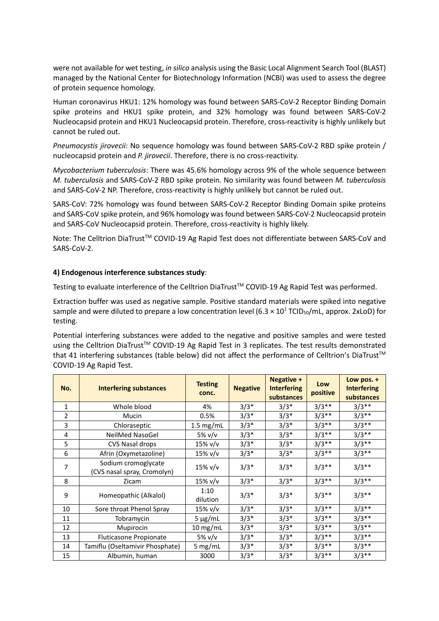were not available for wet testing, *in silico* analysis using the Basic Local Alignment Search Tool (BLAST) managed by the National Center for Biotechnology Information (NCBI) was used to assess the degree of protein sequence homology.

Human coronavirus HKU1: 12% homology was found between SARS-CoV-2 Receptor Binding Domain spike proteins and HKU1 spike protein, and 32% homology was found between SARS-CoV-2 Nucleocapsid protein and HKU1 Nucleocapsid protein. Therefore, cross-reactivity is highly unlikely but cannot be ruled out.

*Pneumocystis jirovecii*: No sequence homology was found between SARS-CoV-2 RBD spike protein / nucleocapsid protein and *P. jirovecii*. Therefore, there is no cross-reactivity.

*Mycobacterium tuberculosis*: There was 45.6% homology across 9% of the whole sequence between *M. tuberculosis* and SARS-CoV-2 RBD spike protein. No similarity was found between *M. tuberculosis* and SARS-CoV-2 NP. Therefore, cross-reactivity is highly unlikely but cannot be ruled out.

SARS-CoV: 72% homology was found between SARS-CoV-2 Receptor Binding Domain spike proteins and SARS-CoV spike protein, and 96% homology was found between SARS-CoV-2 Nucleocapsid protein and SARS-CoV Nucleocapsid protein. Therefore, cross-reactivity is highly likely.

Note: The Celltrion DiaTrust™ COVID-19 Ag Rapid Test does not differentiate between SARS-CoV and SARS-CoV-2.

# **4) Endogenous interference substances study**:

Testing to evaluate interference of the Celltrion DiaTrust™ COVID-19 Ag Rapid Test was performed.

Extraction buffer was used as negative sample. Positive standard materials were spiked into negative sample and were diluted to prepare a low concentration level (6.3  $\times$  10<sup>1</sup> TCID<sub>50</sub>/mL, approx. 2xLoD) for testing.

Potential interfering substances were added to the negative and positive samples and were tested using the Celltrion DiaTrust<sup>™</sup> COVID-19 Ag Rapid Test in 3 replicates. The test results demonstrated that 41 interfering substances (table below) did not affect the performance of Celltrion's DiaTrust™ COVID-19 Ag Rapid Test.

| No.          | <b>Interfering substances</b>                      | <b>Testing</b><br>conc. | <b>Negative</b> | Negative +<br><b>Interfering</b><br>substances | Low<br>positive | Low pos. $+$<br><b>Interfering</b><br>substances |
|--------------|----------------------------------------------------|-------------------------|-----------------|------------------------------------------------|-----------------|--------------------------------------------------|
| $\mathbf{1}$ | Whole blood                                        | 4%                      | $3/3*$          | $3/3*$                                         | $3/3**$         | $3/3**$                                          |
| 2            | Mucin                                              | 0.5%                    | $3/3*$          | $3/3*$                                         | $3/3**$         | $3/3**$                                          |
| 3            | Chloraseptic                                       | $1.5$ mg/mL             | $3/3*$          | $3/3*$                                         | $3/3**$         | $3/3**$                                          |
| 4            | NeilMed NasoGel                                    | 5% v/v                  | $3/3*$          | $3/3*$                                         | $3/3**$         | $3/3**$                                          |
| 5            | CVS Nasal drops                                    | 15% v/v                 | $3/3*$          | $3/3*$                                         | $3/3**$         | $3/3**$                                          |
| 6            | Afrin (Oxymetazoline)                              | $15\%$ v/v              | $3/3*$          | $3/3*$                                         | $3/3**$         | $3/3**$                                          |
| 7            | Sodium cromoglycate<br>(CVS nasal spray, Cromolyn) | $15\%$ v/v              | $3/3*$          | $3/3*$                                         | $3/3**$         | $3/3**$                                          |
| 8            | Zicam                                              | $15\%$ v/v              | $3/3*$          | $3/3*$                                         | $3/3**$         | $3/3**$                                          |
| 9            | Homeopathic (Alkalol)                              | 1:10<br>dilution        | $3/3*$          | $3/3*$                                         | $3/3**$         | $3/3**$                                          |
| 10           | Sore throat Phenol Spray                           | $15\%$ v/v              | $3/3*$          | $3/3*$                                         | $3/3**$         | $3/3**$                                          |
| 11           | Tobramycin                                         | $5 \mu g/mL$            | $3/3*$          | $3/3*$                                         | $3/3**$         | $3/3**$                                          |
| 12           | Mupirocin                                          | $10$ mg/mL              | $3/3*$          | $3/3*$                                         | $3/3**$         | $3/3**$                                          |
| 13           | <b>Fluticasone Propionate</b>                      | 5% v/v                  | $3/3*$          | $3/3*$                                         | $3/3**$         | $3/3**$                                          |
| 14           | Tamiflu (Oseltamivir Phosphate)                    | 5 mg/mL                 | $3/3*$          | $3/3*$                                         | $3/3**$         | $3/3**$                                          |
| 15           | Albumin, human                                     | 3000                    | $3/3*$          | $3/3*$                                         | $3/3**$         | $3/3**$                                          |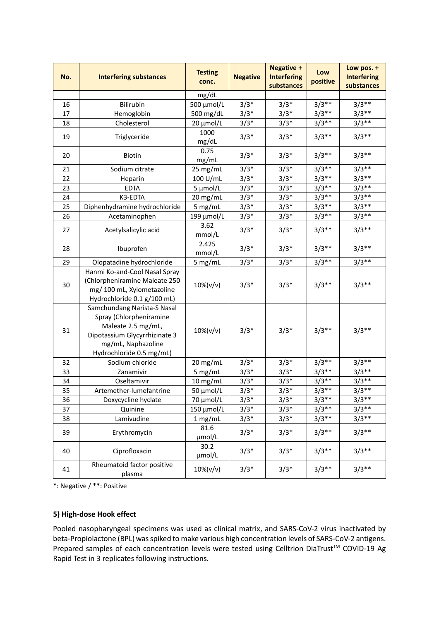| No. | <b>Interfering substances</b>                                                                                                                                   | <b>Testing</b><br>conc. | <b>Negative</b> | <b>Negative +</b><br><b>Interfering</b><br>substances | Low<br>positive | Low pos. +<br><b>Interfering</b><br>substances |
|-----|-----------------------------------------------------------------------------------------------------------------------------------------------------------------|-------------------------|-----------------|-------------------------------------------------------|-----------------|------------------------------------------------|
|     |                                                                                                                                                                 | mg/dL                   |                 |                                                       |                 |                                                |
| 16  | Bilirubin                                                                                                                                                       | 500 μmol/L              | $3/3*$          | $3/3*$                                                | $3/3**$         | $3/3**$                                        |
| 17  | Hemoglobin                                                                                                                                                      | 500 mg/dL               | $3/3*$          | $3/3*$                                                | $3/3**$         | $3/3**$                                        |
| 18  | Cholesterol                                                                                                                                                     | 20 µmol/L               | $3/3*$          | $3/3*$                                                | $3/3**$         | $3/3**$                                        |
| 19  | Triglyceride                                                                                                                                                    | 1000<br>mg/dL           | $3/3*$          | $3/3*$                                                | $3/3**$         | $3/3**$                                        |
| 20  | <b>Biotin</b>                                                                                                                                                   | 0.75<br>mg/mL           | $3/3*$          | $3/3*$                                                | $3/3**$         | $3/3**$                                        |
| 21  | Sodium citrate                                                                                                                                                  | 25 mg/mL                | $3/3*$          | $3/3*$                                                | $3/3**$         | $3/3**$                                        |
| 22  | Heparin                                                                                                                                                         | 100 U/mL                | $3/3*$          | $3/3*$                                                | $3/3**$         | $3/3**$                                        |
| 23  | <b>EDTA</b>                                                                                                                                                     | 5 µmol/L                | $3/3*$          | $3/3*$                                                | $3/3**$         | $3/3**$                                        |
| 24  | K3-EDTA                                                                                                                                                         | 20 mg/mL                | $3/3*$          | $3/3*$                                                | $3/3**$         | $3/3**$                                        |
| 25  | Diphenhydramine hydrochloride                                                                                                                                   | 5 mg/mL                 | $3/3*$          | $3/3*$                                                | $3/3**$         | $3/3**$                                        |
| 26  | Acetaminophen                                                                                                                                                   | 199 µmol/L              | $3/3*$          | $3/3*$                                                | $3/3**$         | $3/3**$                                        |
| 27  | Acetylsalicylic acid                                                                                                                                            | 3.62<br>mmol/L          | $3/3*$          | $3/3*$                                                | $3/3**$         | $3/3**$                                        |
| 28  | Ibuprofen                                                                                                                                                       | 2.425<br>mmol/L         | $3/3*$          | $3/3*$                                                | $3/3**$         | $3/3**$                                        |
| 29  | Olopatadine hydrochloride                                                                                                                                       | 5 mg/mL                 | $3/3*$          | $3/3*$                                                | $3/3**$         | $3/3**$                                        |
| 30  | Hanmi Ko-and-Cool Nasal Spray<br>(Chlorpheniramine Maleate 250<br>mg/ 100 mL, Xylometazoline<br>Hydrochloride 0.1 g/100 mL)                                     | $10\% (v/v)$            | $3/3*$          | $3/3*$                                                | $3/3**$         | $3/3**$                                        |
| 31  | Samchundang Narista-S Nasal<br>Spray (Chlorpheniramine<br>Maleate 2.5 mg/mL,<br>Dipotassium Glycyrrhizinate 3<br>mg/mL, Naphazoline<br>Hydrochloride 0.5 mg/mL) | 10%(v/v)                | $3/3*$          | $3/3*$                                                | $3/3**$         | $3/3**$                                        |
| 32  | Sodium chloride                                                                                                                                                 | 20 mg/mL                | $3/3*$          | $3/3*$                                                | $3/3**$         | $3/3**$                                        |
| 33  | Zanamivir                                                                                                                                                       | 5 mg/mL                 | $3/3*$          | $3/3*$                                                | $3/3**$         | $3/3**$                                        |
| 34  | Oseltamivir                                                                                                                                                     | $10$ mg/mL              | $3/3*$          | $3/3*$                                                | $3/3**$         | $3/3**$                                        |
| 35  | Artemether-lumefantrine                                                                                                                                         | 50 μmol/L               | $3/3*$          | $3/3*$                                                | $3/3**$         | $3/3**$                                        |
| 36  | Doxycycline hyclate                                                                                                                                             | 70 µmol/L               | $3/3*$          | $3/3*$                                                | $3/3**$         | $3/3**$                                        |
| 37  | Quinine                                                                                                                                                         | $150 \mu$ mol/L         | $3/3*$          | $3/3*$                                                | $3/3**$         | $3/3**$                                        |
| 38  | Lamivudine                                                                                                                                                      | 1 mg/mL                 | $3/3*$          | $3/3*$                                                | $3/3**$         | $3/3**$                                        |
| 39  | Erythromycin                                                                                                                                                    | 81.6<br>umol/L          | $3/3*$          | $3/3*$                                                | $3/3**$         | $3/3**$                                        |
| 40  | Ciprofloxacin                                                                                                                                                   | 30.2<br>µmol/L          | $3/3*$          | $3/3*$                                                | $3/3**$         | $3/3**$                                        |
| 41  | Rheumatoid factor positive<br>plasma                                                                                                                            | $10\% (v/v)$            | $3/3*$          | $3/3*$                                                | $3/3**$         | $3/3**$                                        |

\*: Negative / \*\*: Positive

# **5) High-dose Hook effect**

Pooled nasopharyngeal specimens was used as clinical matrix, and SARS-CoV-2 virus inactivated by beta-Propiolactone (BPL) was spiked to make various high concentration levels of SARS-CoV-2 antigens. Prepared samples of each concentration levels were tested using Celltrion DiaTrust™ COVID-19 Ag Rapid Test in 3 replicates following instructions.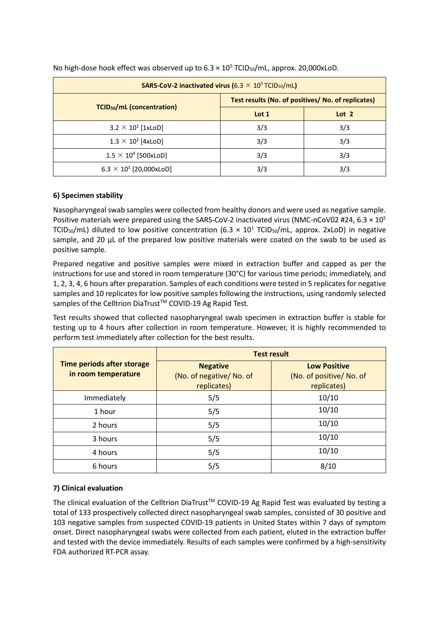| <b>SARS-CoV-2 inactivated virus (6.3 <math>\times</math> 10<sup>5</sup> TCID<sub>50</sub>/mL)</b> |                                                    |                  |  |  |  |
|---------------------------------------------------------------------------------------------------|----------------------------------------------------|------------------|--|--|--|
|                                                                                                   | Test results (No. of positives/ No. of replicates) |                  |  |  |  |
| <b>TCID<sub>50</sub>/mL</b> (concentration)                                                       | Lot 1                                              | Lot <sub>2</sub> |  |  |  |
| $3.2 \times 10^1$ [1xLoD]                                                                         | 3/3                                                | 3/3              |  |  |  |
| $1.3 \times 10^2$ [4xLoD]                                                                         | 3/3                                                | 3/3              |  |  |  |
| $1.5 \times 10^4$ [500xLoD]                                                                       | 3/3                                                | 3/3              |  |  |  |
| $6.3 \times 10^5$ [20,000xLoD]                                                                    | 3/3                                                | 3/3              |  |  |  |

No high-dose hook effect was observed up to  $6.3 \times 10^5$  TCID<sub>50</sub>/mL, approx. 20,000xLoD.

# **6) Specimen stability**

Nasopharyngeal swab samples were collected from healthy donors and were used as negative sample. Positive materials were prepared using the SARS-CoV-2 inactivated virus (NMC-nCoV02 #24, 6.3  $\times$  10<sup>5</sup> TCID<sub>50</sub>/mL) diluted to low positive concentration (6.3  $\times$  10<sup>1</sup> TCID<sub>50</sub>/mL, approx. 2xLoD) in negative sample, and 20 μL of the prepared low positive materials were coated on the swab to be used as positive sample.

Prepared negative and positive samples were mixed in extraction buffer and capped as per the instructions for use and stored in room temperature (30°C) for various time periods; immediately, and 1, 2, 3, 4, 6 hours after preparation. Samples of each conditions were tested in 5 replicatesfor negative samples and 10 replicates for low positive samples following the instructions, using randomly selected samples of the Celltrion DiaTrust™ COVID-19 Ag Rapid Test.

Test results showed that collected nasopharyngeal swab specimen in extraction buffer is stable for testing up to 4 hours after collection in room temperature. However, it is highly recommended to perform test immediately after collection for the best results.

|                                                   | <b>Test result</b>                                         |                                                                |  |  |
|---------------------------------------------------|------------------------------------------------------------|----------------------------------------------------------------|--|--|
| Time periods after storage<br>in room temperature | <b>Negative</b><br>(No. of negative/ No. of<br>replicates) | <b>Low Positive</b><br>(No. of positive/ No. of<br>replicates) |  |  |
| Immediately                                       | 5/5                                                        | 10/10                                                          |  |  |
| 1 hour                                            | 5/5                                                        | 10/10                                                          |  |  |
| 2 hours                                           | 5/5                                                        | 10/10                                                          |  |  |
| 3 hours                                           | 5/5                                                        | 10/10                                                          |  |  |
| 4 hours                                           | 5/5                                                        | 10/10                                                          |  |  |
| 6 hours                                           | 5/5                                                        | 8/10                                                           |  |  |

# **7) Clinical evaluation**

The clinical evaluation of the Celltrion DiaTrust™ COVID-19 Ag Rapid Test was evaluated by testing a total of 133 prospectively collected direct nasopharyngeal swab samples, consisted of 30 positive and 103 negative samples from suspected COVID-19 patients in United States within 7 days of symptom onset. Direct nasopharyngeal swabs were collected from each patient, eluted in the extraction buffer and tested with the device immediately. Results of each samples were confirmed by a high-sensitivity FDA authorized RT-PCR assay.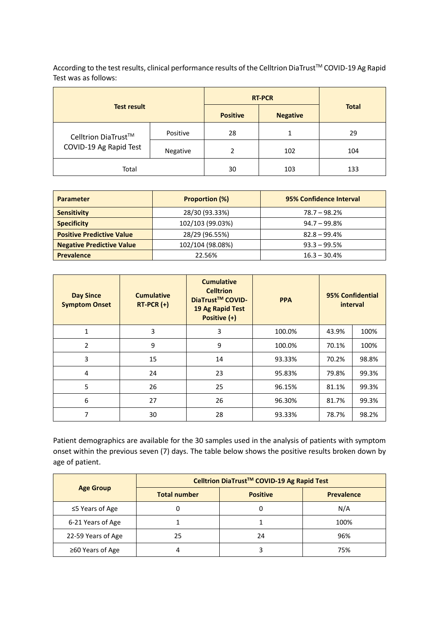According to the test results, clinical performance results of the Celltrion DiaTrust™ COVID-19 Ag Rapid Test was as follows:

| <b>Test result</b>     |          |                 | <b>RT-PCR</b>   |              |
|------------------------|----------|-----------------|-----------------|--------------|
|                        |          | <b>Positive</b> | <b>Negative</b> | <b>Total</b> |
| Celltrion DiaTrust™    | Positive | 28              |                 | 29           |
| COVID-19 Ag Rapid Test | Negative | 2               | 102             | 104          |
| Total                  |          | 30              | 103             | 133          |

| <b>Parameter</b>                 | <b>Proportion (%)</b> | 95% Confidence Interval |
|----------------------------------|-----------------------|-------------------------|
| <b>Sensitivity</b>               | 28/30 (93.33%)        | $78.7 - 98.2%$          |
| <b>Specificity</b>               | 102/103 (99.03%)      | $94.7 - 99.8\%$         |
| <b>Positive Predictive Value</b> | 28/29 (96.55%)        | $82.8 - 99.4%$          |
| <b>Negative Predictive Value</b> | 102/104 (98.08%)      | $93.3 - 99.5%$          |
| <b>Prevalence</b>                | 22.56%                | $16.3 - 30.4%$          |

| <b>Day Since</b><br><b>Symptom Onset</b> | <b>Cumulative</b><br>$RT-PCR (+)$ | <b>Cumulative</b><br><b>Celltrion</b><br>DiaTrust <sup>™</sup> COVID-<br>19 Ag Rapid Test<br>Positive (+) | <b>PPA</b> |       | 95% Confidential<br>interval |
|------------------------------------------|-----------------------------------|-----------------------------------------------------------------------------------------------------------|------------|-------|------------------------------|
| $\mathbf{1}$                             | 3                                 | 3                                                                                                         | 100.0%     | 43.9% | 100%                         |
| $\overline{2}$                           | 9                                 | 9                                                                                                         | 100.0%     | 70.1% | 100%                         |
| 3                                        | 15                                | 14                                                                                                        | 93.33%     | 70.2% | 98.8%                        |
| 4                                        | 24                                | 23                                                                                                        | 95.83%     | 79.8% | 99.3%                        |
| 5                                        | 26                                | 25                                                                                                        | 96.15%     | 81.1% | 99.3%                        |
| 6                                        | 27                                | 26                                                                                                        | 96.30%     | 81.7% | 99.3%                        |
| 7                                        | 30                                | 28                                                                                                        | 93.33%     | 78.7% | 98.2%                        |

Patient demographics are available for the 30 samples used in the analysis of patients with symptom onset within the previous seven (7) days. The table below shows the positive results broken down by age of patient.

|                        | Celltrion DiaTrust™ COVID-19 Ag Rapid Test |                 |                   |  |
|------------------------|--------------------------------------------|-----------------|-------------------|--|
| <b>Age Group</b>       | <b>Total number</b>                        | <b>Positive</b> | <b>Prevalence</b> |  |
| $\leq$ 5 Years of Age  | 0                                          | 0               | N/A               |  |
| 6-21 Years of Age      |                                            |                 | 100%              |  |
| 22-59 Years of Age     | 25                                         | 24              | 96%               |  |
| $\geq 60$ Years of Age |                                            |                 | 75%               |  |